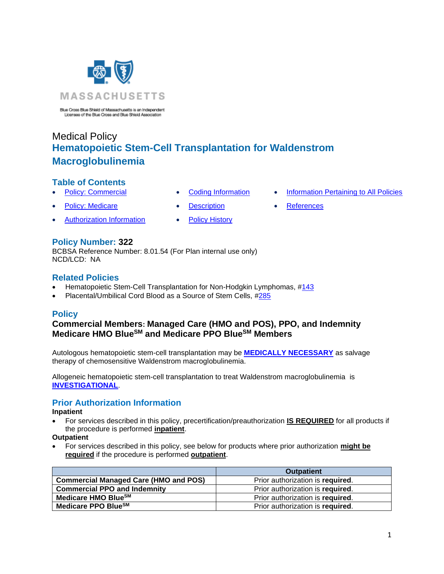

Blue Cross Blue Shield of Massachusetts is an Independent<br>Licensee of the Blue Cross and Blue Shield Association

# Medical Policy **Hematopoietic Stem-Cell Transplantation for Waldenstrom Macroglobulinemia**

## **Table of Contents**

- 
- 
- **[Policy: Commercial](#page-0-0) [Coding Information](#page-1-0) [Information Pertaining to All Policies](#page-4-0)**
- **[Policy: Medicare](#page-0-0) Contract [Description](#page-2-0) [References](#page-4-1)** 
	-
- [Authorization Information](#page-0-1) [Policy History](#page-4-2)
- 

## **Policy Number: 322**

BCBSA Reference Number: 8.01.54 (For Plan internal use only) NCD/LCD: NA

## **Related Policies**

- Hematopoietic Stem-Cell Transplantation for Non-Hodgkin Lymphomas, [#143](https://www.bluecrossma.org/medical-policies/sites/g/files/csphws2091/files/acquiadam-assets/143%20Hematopoietic%20Cell%20Transplantation%20for%20Non-Hodgkin%20Lymphomas%20prn.pdf)
- <span id="page-0-0"></span>• Placental/Umbilical Cord Blood as a Source of Stem Cells, [#285](https://www.bluecrossma.org/medical-policies/sites/g/files/csphws2091/files/acquiadam-assets/285%20Placental%20or%20Umbilical%20Cord%20Blood%20as%20a%20Source%20of%20Stem%20Cells%20prn.pdf)

## **Policy**

## **Commercial Members: Managed Care (HMO and POS), PPO, and Indemnity Medicare HMO BlueSM and Medicare PPO BlueSM Members**

Autologous hematopoietic stem-cell transplantation may be **[MEDICALLY NECESSARY](https://www.bluecrossma.org/medical-policies/sites/g/files/csphws2091/files/acquiadam-assets/Definition%20of%20Med%20Nec%20Inv%20Not%20Med%20Nec%20prn.pdf#page=1)** as salvage therapy of chemosensitive Waldenstrom macroglobulinemia.

Allogeneic hematopoietic stem-cell transplantation to treat Waldenstrom macroglobulinemia is **[INVESTIGATIONAL](https://www.bluecrossma.org/medical-policies/sites/g/files/csphws2091/files/acquiadam-assets/Definition%20of%20Med%20Nec%20Inv%20Not%20Med%20Nec%20prn.pdf#page=1)**.

# <span id="page-0-1"></span>**Prior Authorization Information**

#### **Inpatient**

• For services described in this policy, precertification/preauthorization **IS REQUIRED** for all products if the procedure is performed **inpatient**.

**Outpatient**

• For services described in this policy, see below for products where prior authorization **might be required** if the procedure is performed **outpatient**.

|                                              | <b>Outpatient</b>                |
|----------------------------------------------|----------------------------------|
| <b>Commercial Managed Care (HMO and POS)</b> | Prior authorization is required. |
| <b>Commercial PPO and Indemnity</b>          | Prior authorization is required. |
| Medicare HMO BlueSM                          | Prior authorization is required. |
| Medicare PPO Blue <sup>SM</sup>              | Prior authorization is required. |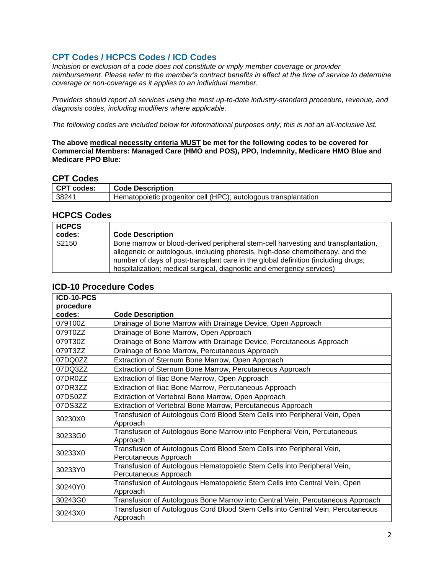# <span id="page-1-0"></span>**CPT Codes / HCPCS Codes / ICD Codes**

*Inclusion or exclusion of a code does not constitute or imply member coverage or provider reimbursement. Please refer to the member's contract benefits in effect at the time of service to determine coverage or non-coverage as it applies to an individual member.*

*Providers should report all services using the most up-to-date industry-standard procedure, revenue, and diagnosis codes, including modifiers where applicable.*

*The following codes are included below for informational purposes only; this is not an all-inclusive list.*

**The above medical necessity criteria MUST be met for the following codes to be covered for Commercial Members: Managed Care (HMO and POS), PPO, Indemnity, Medicare HMO Blue and Medicare PPO Blue:**

#### **CPT Codes**

| ---------  |                                                                 |
|------------|-----------------------------------------------------------------|
| CPT codes: | <b>Code Description</b>                                         |
| 38241      | Hematopoietic progenitor cell (HPC); autologous transplantation |

#### **HCPCS Codes**

| <b>HCPCS</b> |                                                                                                                                                                                                                                                                                                                                  |
|--------------|----------------------------------------------------------------------------------------------------------------------------------------------------------------------------------------------------------------------------------------------------------------------------------------------------------------------------------|
| codes:       | <b>Code Description</b>                                                                                                                                                                                                                                                                                                          |
| S2150        | Bone marrow or blood-derived peripheral stem-cell harvesting and transplantation,<br>allogeneic or autologous, including pheresis, high-dose chemotherapy, and the<br>number of days of post-transplant care in the global definition (including drugs;<br>hospitalization; medical surgical, diagnostic and emergency services) |

## **ICD-10 Procedure Codes**

| ICD-10-PCS |                                                                                 |
|------------|---------------------------------------------------------------------------------|
| procedure  |                                                                                 |
| codes:     | <b>Code Description</b>                                                         |
| 079T00Z    | Drainage of Bone Marrow with Drainage Device, Open Approach                     |
| 079T0ZZ    | Drainage of Bone Marrow, Open Approach                                          |
| 079T30Z    | Drainage of Bone Marrow with Drainage Device, Percutaneous Approach             |
| 079T3ZZ    | Drainage of Bone Marrow, Percutaneous Approach                                  |
| 07DQ0ZZ    | Extraction of Sternum Bone Marrow, Open Approach                                |
| 07DQ3ZZ    | Extraction of Sternum Bone Marrow, Percutaneous Approach                        |
| 07DR0ZZ    | Extraction of Iliac Bone Marrow, Open Approach                                  |
| 07DR3ZZ    | Extraction of Iliac Bone Marrow, Percutaneous Approach                          |
| 07DS0ZZ    | Extraction of Vertebral Bone Marrow, Open Approach                              |
| 07DS3ZZ    | Extraction of Vertebral Bone Marrow, Percutaneous Approach                      |
| 30230X0    | Transfusion of Autologous Cord Blood Stem Cells into Peripheral Vein, Open      |
|            | Approach                                                                        |
| 30233G0    | Transfusion of Autologous Bone Marrow into Peripheral Vein, Percutaneous        |
|            | Approach                                                                        |
| 30233X0    | Transfusion of Autologous Cord Blood Stem Cells into Peripheral Vein,           |
|            | Percutaneous Approach                                                           |
| 30233Y0    | Transfusion of Autologous Hematopoietic Stem Cells into Peripheral Vein,        |
|            | Percutaneous Approach                                                           |
| 30240Y0    | Transfusion of Autologous Hematopoietic Stem Cells into Central Vein, Open      |
|            | Approach                                                                        |
| 30243G0    | Transfusion of Autologous Bone Marrow into Central Vein, Percutaneous Approach  |
| 30243X0    | Transfusion of Autologous Cord Blood Stem Cells into Central Vein, Percutaneous |
|            | Approach                                                                        |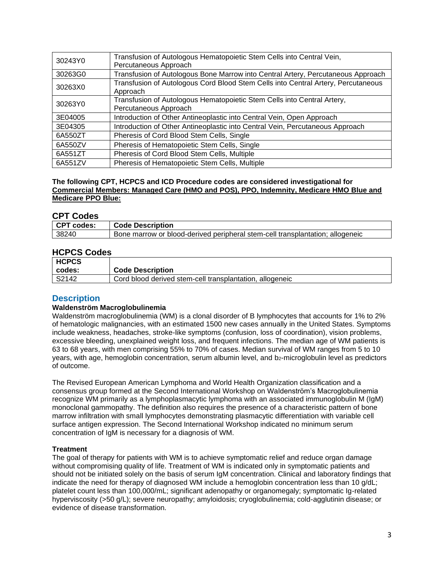| 30243Y0 | Transfusion of Autologous Hematopoietic Stem Cells into Central Vein,<br>Percutaneous Approach   |
|---------|--------------------------------------------------------------------------------------------------|
| 30263G0 | Transfusion of Autologous Bone Marrow into Central Artery, Percutaneous Approach                 |
| 30263X0 | Transfusion of Autologous Cord Blood Stem Cells into Central Artery, Percutaneous<br>Approach    |
| 30263Y0 | Transfusion of Autologous Hematopoietic Stem Cells into Central Artery,<br>Percutaneous Approach |
| 3E04005 | Introduction of Other Antineoplastic into Central Vein, Open Approach                            |
| 3E04305 | Introduction of Other Antineoplastic into Central Vein, Percutaneous Approach                    |
| 6A550ZT | Pheresis of Cord Blood Stem Cells, Single                                                        |
| 6A550ZV | Pheresis of Hematopoietic Stem Cells, Single                                                     |
| 6A551ZT | Pheresis of Cord Blood Stem Cells, Multiple                                                      |
| 6A551ZV | Pheresis of Hematopoietic Stem Cells, Multiple                                                   |

#### **The following CPT, HCPCS and ICD Procedure codes are considered investigational for Commercial Members: Managed Care (HMO and POS), PPO, Indemnity, Medicare HMO Blue and Medicare PPO Blue:**

#### **CPT Codes**

| ---------  |                                                                               |
|------------|-------------------------------------------------------------------------------|
| CPT codes: | ∣ Code Description                                                            |
| 38240      | Bone marrow or blood-derived peripheral stem-cell transplantation; allogeneic |

## **HCPCS Codes**

| <b>HCPCS</b> |                                                          |
|--------------|----------------------------------------------------------|
| codes:       | <b>Code Description</b>                                  |
| S2142        | Cord blood derived stem-cell transplantation, allogeneic |

#### <span id="page-2-0"></span>**Description**

#### **Waldenström Macroglobulinemia**

Waldenström macroglobulinemia (WM) is a clonal disorder of B lymphocytes that accounts for 1% to 2% of hematologic malignancies, with an estimated 1500 new cases annually in the United States. Symptoms include weakness, headaches, stroke-like symptoms (confusion, loss of coordination), vision problems, excessive bleeding, unexplained weight loss, and frequent infections. The median age of WM patients is 63 to 68 years, with men comprising 55% to 70% of cases. Median survival of WM ranges from 5 to 10 years, with age, hemoglobin concentration, serum albumin level, and b<sub>2</sub>-microglobulin level as predictors of outcome.

The Revised European American Lymphoma and World Health Organization classification and a consensus group formed at the Second International Workshop on Waldenström's Macroglobulinemia recognize WM primarily as a lymphoplasmacytic lymphoma with an associated immunoglobulin M (IgM) monoclonal gammopathy. The definition also requires the presence of a characteristic pattern of bone marrow infiltration with small lymphocytes demonstrating plasmacytic differentiation with variable cell surface antigen expression. The Second International Workshop indicated no minimum serum concentration of IgM is necessary for a diagnosis of WM.

#### **Treatment**

The goal of therapy for patients with WM is to achieve symptomatic relief and reduce organ damage without compromising quality of life. Treatment of WM is indicated only in symptomatic patients and should not be initiated solely on the basis of serum IgM concentration. Clinical and laboratory findings that indicate the need for therapy of diagnosed WM include a hemoglobin concentration less than 10 g/dL; platelet count less than 100,000/mL; significant adenopathy or organomegaly; symptomatic Ig-related hyperviscosity (>50 g/L); severe neuropathy; amyloidosis; cryoglobulinemia; cold-agglutinin disease; or evidence of disease transformation.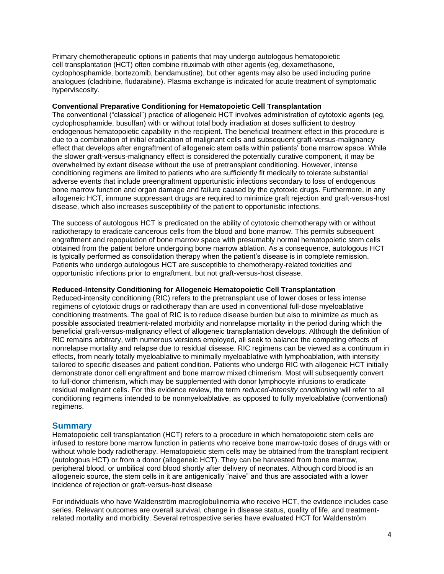Primary chemotherapeutic options in patients that may undergo autologous hematopoietic cell transplantation (HCT) often combine rituximab with other agents (eg, dexamethasone, cyclophosphamide, bortezomib, bendamustine), but other agents may also be used including purine analogues (cladribine, fludarabine). Plasma exchange is indicated for acute treatment of symptomatic hyperviscosity.

#### **Conventional Preparative Conditioning for Hematopoietic Cell Transplantation**

The conventional ("classical") practice of allogeneic HCT involves administration of cytotoxic agents (eg, cyclophosphamide, busulfan) with or without total body irradiation at doses sufficient to destroy endogenous hematopoietic capability in the recipient. The beneficial treatment effect in this procedure is due to a combination of initial eradication of malignant cells and subsequent graft-versus-malignancy effect that develops after engraftment of allogeneic stem cells within patients' bone marrow space. While the slower graft-versus-malignancy effect is considered the potentially curative component, it may be overwhelmed by extant disease without the use of pretransplant conditioning. However, intense conditioning regimens are limited to patients who are sufficiently fit medically to tolerate substantial adverse events that include preengraftment opportunistic infections secondary to loss of endogenous bone marrow function and organ damage and failure caused by the cytotoxic drugs. Furthermore, in any allogeneic HCT, immune suppressant drugs are required to minimize graft rejection and graft-versus-host disease, which also increases susceptibility of the patient to opportunistic infections.

The success of autologous HCT is predicated on the ability of cytotoxic chemotherapy with or without radiotherapy to eradicate cancerous cells from the blood and bone marrow. This permits subsequent engraftment and repopulation of bone marrow space with presumably normal hematopoietic stem cells obtained from the patient before undergoing bone marrow ablation. As a consequence, autologous HCT is typically performed as consolidation therapy when the patient's disease is in complete remission. Patients who undergo autologous HCT are susceptible to chemotherapy-related toxicities and opportunistic infections prior to engraftment, but not graft-versus-host disease.

#### **Reduced-Intensity Conditioning for Allogeneic Hematopoietic Cell Transplantation**

Reduced-intensity conditioning (RIC) refers to the pretransplant use of lower doses or less intense regimens of cytotoxic drugs or radiotherapy than are used in conventional full-dose myeloablative conditioning treatments. The goal of RIC is to reduce disease burden but also to minimize as much as possible associated treatment-related morbidity and nonrelapse mortality in the period during which the beneficial graft-versus-malignancy effect of allogeneic transplantation develops. Although the definition of RIC remains arbitrary, with numerous versions employed, all seek to balance the competing effects of nonrelapse mortality and relapse due to residual disease. RIC regimens can be viewed as a continuum in effects, from nearly totally myeloablative to minimally myeloablative with lymphoablation, with intensity tailored to specific diseases and patient condition. Patients who undergo RIC with allogeneic HCT initially demonstrate donor cell engraftment and bone marrow mixed chimerism. Most will subsequently convert to full-donor chimerism, which may be supplemented with donor lymphocyte infusions to eradicate residual malignant cells. For this evidence review, the term *reduced-intensity conditioning* will refer to all conditioning regimens intended to be nonmyeloablative, as opposed to fully myeloablative (conventional) regimens.

#### **Summary**

Hematopoietic cell transplantation (HCT) refers to a procedure in which hematopoietic stem cells are infused to restore bone marrow function in patients who receive bone marrow-toxic doses of drugs with or without whole body radiotherapy. Hematopoietic stem cells may be obtained from the transplant recipient (autologous HCT) or from a donor (allogeneic HCT). They can be harvested from bone marrow, peripheral blood, or umbilical cord blood shortly after delivery of neonates. Although cord blood is an allogeneic source, the stem cells in it are antigenically "naive" and thus are associated with a lower incidence of rejection or graft-versus-host disease

For individuals who have Waldenström macroglobulinemia who receive HCT, the evidence includes case series. Relevant outcomes are overall survival, change in disease status, quality of life, and treatmentrelated mortality and morbidity. Several retrospective series have evaluated HCT for Waldenström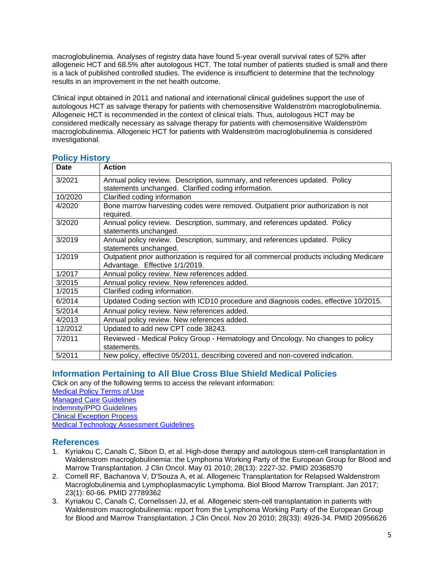macroglobulinemia. Analyses of registry data have found 5-year overall survival rates of 52% after allogeneic HCT and 68.5% after autologous HCT. The total number of patients studied is small and there is a lack of published controlled studies. The evidence is insufficient to determine that the technology results in an improvement in the net health outcome.

Clinical input obtained in 2011 and national and international clinical guidelines support the use of autologous HCT as salvage therapy for patients with chemosensitive Waldenström macroglobulinemia. Allogeneic HCT is recommended in the context of clinical trials. Thus, autologous HCT may be considered medically necessary as salvage therapy for patients with chemosensitive Waldenström macroglobulinemia. Allogeneic HCT for patients with Waldenström macroglobulinemia is considered investigational.

| Date    | <b>Action</b>                                                                             |
|---------|-------------------------------------------------------------------------------------------|
| 3/2021  | Annual policy review. Description, summary, and references updated. Policy                |
|         | statements unchanged. Clarified coding information.                                       |
| 10/2020 | Clarified coding information                                                              |
| 4/2020  | Bone marrow harvesting codes were removed. Outpatient prior authorization is not          |
|         | required.                                                                                 |
| 3/2020  | Annual policy review. Description, summary, and references updated. Policy                |
|         | statements unchanged.                                                                     |
| 3/2019  | Annual policy review. Description, summary, and references updated. Policy                |
|         | statements unchanged.                                                                     |
| 1/2019  | Outpatient prior authorization is required for all commercial products including Medicare |
|         | Advantage. Effective 1/1/2019.                                                            |
| 1/2017  | Annual policy review. New references added.                                               |
| 3/2015  | Annual policy review. New references added.                                               |
| 1/2015  | Clarified coding information.                                                             |
| 6/2014  | Updated Coding section with ICD10 procedure and diagnosis codes, effective 10/2015.       |
| 5/2014  | Annual policy review. New references added.                                               |
| 4/2013  | Annual policy review. New references added.                                               |
| 12/2012 | Updated to add new CPT code 38243.                                                        |
| 7/2011  | Reviewed - Medical Policy Group - Hematology and Oncology. No changes to policy           |
|         | statements.                                                                               |
| 5/2011  | New policy, effective 05/2011, describing covered and non-covered indication.             |

## <span id="page-4-2"></span>**Policy History**

#### <span id="page-4-0"></span>**Information Pertaining to All Blue Cross Blue Shield Medical Policies**

Click on any of the following terms to access the relevant information:

[Medical Policy Terms of Use](http://www.bluecrossma.org/medical-policies/sites/g/files/csphws2091/files/acquiadam-assets/Medical_Policy_Terms_of_Use_prn.pdf) [Managed Care Guidelines](http://www.bluecrossma.org/medical-policies/sites/g/files/csphws2091/files/acquiadam-assets/Managed_Care_Guidelines_prn.pdf) [Indemnity/PPO Guidelines](http://www.bluecrossma.org/medical-policies/sites/g/files/csphws2091/files/acquiadam-assets/Indemnity_and_PPO_Guidelines_prn.pdf) [Clinical Exception Process](http://www.bluecrossma.org/medical-policies/sites/g/files/csphws2091/files/acquiadam-assets/Clinical_Exception_Process_prn.pdf) [Medical Technology Assessment Guidelines](http://www.bluecrossma.org/medical-policies/sites/g/files/csphws2091/files/acquiadam-assets/Medical_Technology_Assessment_Guidelines_prn.pdf)

#### <span id="page-4-1"></span>**References**

- 1. Kyriakou C, Canals C, Sibon D, et al. High-dose therapy and autologous stem-cell transplantation in Waldenstrom macroglobulinemia: the Lymphoma Working Party of the European Group for Blood and Marrow Transplantation. J Clin Oncol. May 01 2010; 28(13): 2227-32. PMID 20368570
- 2. Cornell RF, Bachanova V, D'Souza A, et al. Allogeneic Transplantation for Relapsed Waldenstrom Macroglobulinemia and Lymphoplasmacytic Lymphoma. Biol Blood Marrow Transplant. Jan 2017; 23(1): 60-66. PMID 27789362
- 3. Kyriakou C, Canals C, Cornelissen JJ, et al. Allogeneic stem-cell transplantation in patients with Waldenstrom macroglobulinemia: report from the Lymphoma Working Party of the European Group for Blood and Marrow Transplantation. J Clin Oncol. Nov 20 2010; 28(33): 4926-34. PMID 20956626